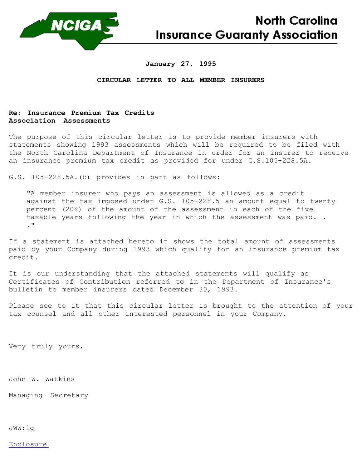

## **January 27, 1995**

## **CIRCULAR LETTER TO ALL MEMBER INSURERS**

## **Re: Insurance Premium Tax Credits Association Assessments**

The purpose of this circular letter is to provide member insurers with statements showing 1993 assessments which will be required to be filed with the North Carolina Department of Insurance in order for an insurer to receive an insurance premium tax credit as provided for under G.S.105-228.5A.

G.S. 105-228.5A.(b) provides in part as follows:

"A member insurer who pays an assessment is allowed as a credit against the tax imposed under G.S. 105-228.5 an amount equal to twenty percent (20%) of the amount of the assessment in each of the five taxable years following the year in which the assessment was paid. . ."

If a statement is attached hereto it shows the total amount of assessments paid by your Company during 1993 which qualify for an insurance premium tax credit.

It is our understanding that the attached statements will qualify as Certificates of Contribution referred to in the Department of Insurance's bulletin to member insurers dated December 30, 1993.

Please see to it that this circular letter is brought to the attention of your tax counsel and all other interested personnel in your Company.

Very truly yours,

John W. Watkins

Managing Secretary

JWW:lg

Enclosure